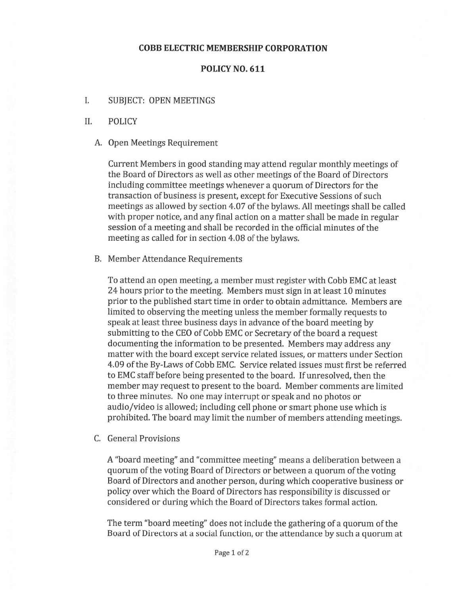## COBB ELECTRIC MEMBERSHIP CORPORATION

## POLICY NO. 611

- I. SUBJECT: OPEN MEETINGS
- II. POLICY
	- A. Open Meetings Requirement

Current Members in good standing may attend regular monthly meetings of the Board of Directors as well as other meetings of the Board of Directors including committee meetings whenever <sup>a</sup> quorum of Directors for the transaction of business is present, excep<sup>t</sup> for Executive Sessions of such meetings as allowed by section 4.07 of the bylaws. All meetings shall be called with proper notice, and any final action on <sup>a</sup> matter shall be made in regular session of <sup>a</sup> meeting and shall be recorded in the official minutes of the meeting as called for in section 4.08 of the bylaws.

B. Member Attendance Requirements

To attend an open meeting, <sup>a</sup> member must register with Cobb EMC at least 24 hours prior to the meeting. Members must sign in at least 10 minutes prior to the published start time in order to obtain admittance. Members are limited to observing the meeting unless the member formally requests to spea<sup>k</sup> at least three business days in advance of the board meeting by submitting to the CEO of Cobb EMC or Secretary of the board <sup>a</sup> reques<sup>t</sup> documenting the information to be presented. Members may address any matter with the board excep<sup>t</sup> service related issues, or matters under Section 4.09 of the By-Laws of Cobb EMC. Service related issues must first be referred to EMC staff before being presented to the board. If unresolved, then the member may reques<sup>t</sup> to presen<sup>t</sup> to the board. Member comments are limited to three minutes. No one may interrupt or speak and no photos or audio/video is allowed; including cell phone or smart phone use which is prohibited. The board may limit the number of members attending meetings.

C. General Provisions

A "board meeting" and "committee meeting" means <sup>a</sup> deliberation between <sup>a</sup> quorum of the voting Board of Directors or between <sup>a</sup> quorum of the voting Board of Directors and another person, during which cooperative business or policy over which the Board of Directors has responsibility is discussed or considered or during which the Board of Directors takes formal action.

The term "board meeting" does not include the gathering of <sup>a</sup> quorum of the Board of Directors at <sup>a</sup> social function, or the attendance by such <sup>a</sup> quorum at